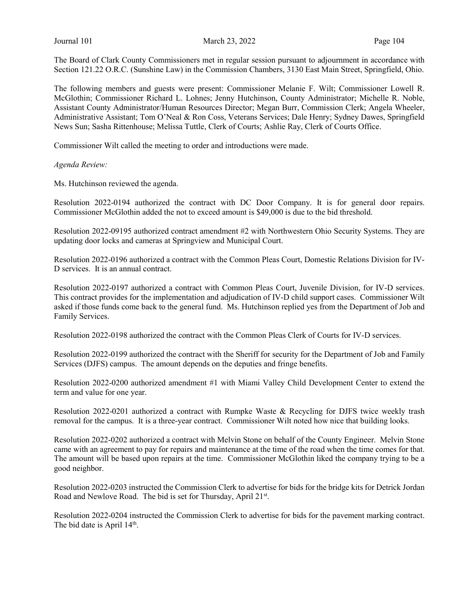The Board of Clark County Commissioners met in regular session pursuant to adjournment in accordance with Section 121.22 O.R.C. (Sunshine Law) in the Commission Chambers, 3130 East Main Street, Springfield, Ohio.

The following members and guests were present: Commissioner Melanie F. Wilt; Commissioner Lowell R. McGlothin; Commissioner Richard L. Lohnes; Jenny Hutchinson, County Administrator; Michelle R. Noble, Assistant County Administrator/Human Resources Director; Megan Burr, Commission Clerk; Angela Wheeler, Administrative Assistant; Tom O'Neal & Ron Coss, Veterans Services; Dale Henry; Sydney Dawes, Springfield News Sun; Sasha Rittenhouse; Melissa Tuttle, Clerk of Courts; Ashlie Ray, Clerk of Courts Office.

Commissioner Wilt called the meeting to order and introductions were made.

Agenda Review:

Ms. Hutchinson reviewed the agenda.

Resolution 2022-0194 authorized the contract with DC Door Company. It is for general door repairs. Commissioner McGlothin added the not to exceed amount is \$49,000 is due to the bid threshold.

Resolution 2022-09195 authorized contract amendment #2 with Northwestern Ohio Security Systems. They are updating door locks and cameras at Springview and Municipal Court.

Resolution 2022-0196 authorized a contract with the Common Pleas Court, Domestic Relations Division for IV-D services. It is an annual contract.

Resolution 2022-0197 authorized a contract with Common Pleas Court, Juvenile Division, for IV-D services. This contract provides for the implementation and adjudication of IV-D child support cases. Commissioner Wilt asked if those funds come back to the general fund. Ms. Hutchinson replied yes from the Department of Job and Family Services.

Resolution 2022-0198 authorized the contract with the Common Pleas Clerk of Courts for IV-D services.

Resolution 2022-0199 authorized the contract with the Sheriff for security for the Department of Job and Family Services (DJFS) campus. The amount depends on the deputies and fringe benefits.

Resolution 2022-0200 authorized amendment #1 with Miami Valley Child Development Center to extend the term and value for one year.

Resolution 2022-0201 authorized a contract with Rumpke Waste & Recycling for DJFS twice weekly trash removal for the campus. It is a three-year contract. Commissioner Wilt noted how nice that building looks.

Resolution 2022-0202 authorized a contract with Melvin Stone on behalf of the County Engineer. Melvin Stone came with an agreement to pay for repairs and maintenance at the time of the road when the time comes for that. The amount will be based upon repairs at the time. Commissioner McGlothin liked the company trying to be a good neighbor.

Resolution 2022-0203 instructed the Commission Clerk to advertise for bids for the bridge kits for Detrick Jordan Road and Newlove Road. The bid is set for Thursday, April 21st.

Resolution 2022-0204 instructed the Commission Clerk to advertise for bids for the pavement marking contract. The bid date is April 14<sup>th</sup>.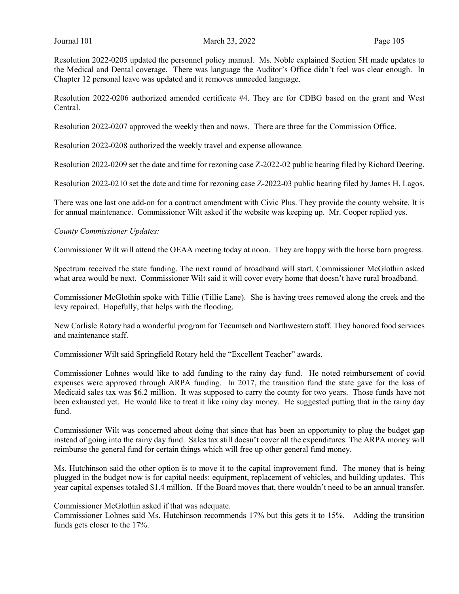Resolution 2022-0205 updated the personnel policy manual. Ms. Noble explained Section 5H made updates to the Medical and Dental coverage. There was language the Auditor's Office didn't feel was clear enough. In Chapter 12 personal leave was updated and it removes unneeded language.

Resolution 2022-0206 authorized amended certificate #4. They are for CDBG based on the grant and West Central.

Resolution 2022-0207 approved the weekly then and nows. There are three for the Commission Office.

Resolution 2022-0208 authorized the weekly travel and expense allowance.

Resolution 2022-0209 set the date and time for rezoning case Z-2022-02 public hearing filed by Richard Deering.

Resolution 2022-0210 set the date and time for rezoning case Z-2022-03 public hearing filed by James H. Lagos.

There was one last one add-on for a contract amendment with Civic Plus. They provide the county website. It is for annual maintenance. Commissioner Wilt asked if the website was keeping up. Mr. Cooper replied yes.

### County Commissioner Updates:

Commissioner Wilt will attend the OEAA meeting today at noon. They are happy with the horse barn progress.

Spectrum received the state funding. The next round of broadband will start. Commissioner McGlothin asked what area would be next. Commissioner Wilt said it will cover every home that doesn't have rural broadband.

Commissioner McGlothin spoke with Tillie (Tillie Lane). She is having trees removed along the creek and the levy repaired. Hopefully, that helps with the flooding.

New Carlisle Rotary had a wonderful program for Tecumseh and Northwestern staff. They honored food services and maintenance staff.

Commissioner Wilt said Springfield Rotary held the "Excellent Teacher" awards.

Commissioner Lohnes would like to add funding to the rainy day fund. He noted reimbursement of covid expenses were approved through ARPA funding. In 2017, the transition fund the state gave for the loss of Medicaid sales tax was \$6.2 million. It was supposed to carry the county for two years. Those funds have not been exhausted yet. He would like to treat it like rainy day money. He suggested putting that in the rainy day fund.

Commissioner Wilt was concerned about doing that since that has been an opportunity to plug the budget gap instead of going into the rainy day fund. Sales tax still doesn't cover all the expenditures. The ARPA money will reimburse the general fund for certain things which will free up other general fund money.

Ms. Hutchinson said the other option is to move it to the capital improvement fund. The money that is being plugged in the budget now is for capital needs: equipment, replacement of vehicles, and building updates. This year capital expenses totaled \$1.4 million. If the Board moves that, there wouldn't need to be an annual transfer.

Commissioner McGlothin asked if that was adequate.

Commissioner Lohnes said Ms. Hutchinson recommends 17% but this gets it to 15%. Adding the transition funds gets closer to the 17%.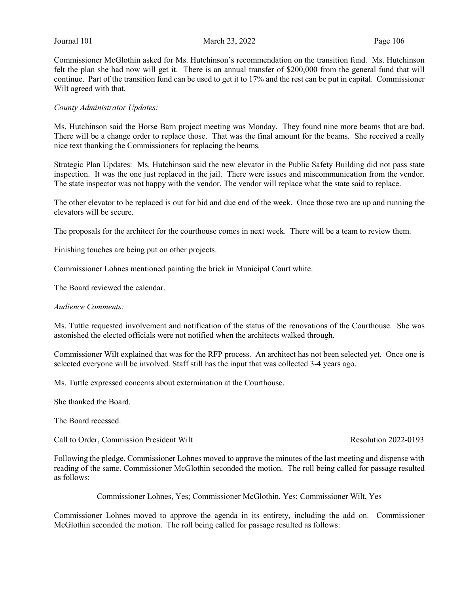Commissioner McGlothin asked for Ms. Hutchinson's recommendation on the transition fund. Ms. Hutchinson felt the plan she had now will get it. There is an annual transfer of \$200,000 from the general fund that will continue. Part of the transition fund can be used to get it to 17% and the rest can be put in capital. Commissioner Wilt agreed with that.

## County Administrator Updates:

Ms. Hutchinson said the Horse Barn project meeting was Monday. They found nine more beams that are bad. There will be a change order to replace those. That was the final amount for the beams. She received a really nice text thanking the Commissioners for replacing the beams.

Strategic Plan Updates: Ms. Hutchinson said the new elevator in the Public Safety Building did not pass state inspection. It was the one just replaced in the jail. There were issues and miscommunication from the vendor. The state inspector was not happy with the vendor. The vendor will replace what the state said to replace.

The other elevator to be replaced is out for bid and due end of the week. Once those two are up and running the elevators will be secure.

The proposals for the architect for the courthouse comes in next week. There will be a team to review them.

Finishing touches are being put on other projects.

Commissioner Lohnes mentioned painting the brick in Municipal Court white.

The Board reviewed the calendar.

#### Audience Comments:

Ms. Tuttle requested involvement and notification of the status of the renovations of the Courthouse. She was astonished the elected officials were not notified when the architects walked through.

Commissioner Wilt explained that was for the RFP process. An architect has not been selected yet. Once one is selected everyone will be involved. Staff still has the input that was collected 3-4 years ago.

Ms. Tuttle expressed concerns about extermination at the Courthouse.

She thanked the Board.

The Board recessed.

Call to Order, Commission President Wilt Resolution 2022-0193

Following the pledge, Commissioner Lohnes moved to approve the minutes of the last meeting and dispense with reading of the same. Commissioner McGlothin seconded the motion. The roll being called for passage resulted as follows:

Commissioner Lohnes, Yes; Commissioner McGlothin, Yes; Commissioner Wilt, Yes

Commissioner Lohnes moved to approve the agenda in its entirety, including the add on. Commissioner McGlothin seconded the motion. The roll being called for passage resulted as follows: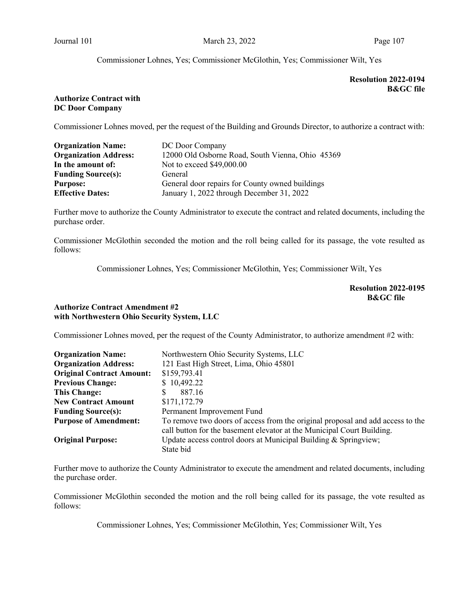Commissioner Lohnes, Yes; Commissioner McGlothin, Yes; Commissioner Wilt, Yes

# Resolution 2022-0194 B&GC file

## Authorize Contract with DC Door Company

Commissioner Lohnes moved, per the request of the Building and Grounds Director, to authorize a contract with:

| <b>Organization Name:</b>    | DC Door Company                                  |
|------------------------------|--------------------------------------------------|
| <b>Organization Address:</b> | 12000 Old Osborne Road, South Vienna, Ohio 45369 |
| In the amount of:            | Not to exceed \$49,000.00                        |
| <b>Funding Source(s):</b>    | General                                          |
| <b>Purpose:</b>              | General door repairs for County owned buildings  |
| <b>Effective Dates:</b>      | January 1, 2022 through December 31, 2022        |

Further move to authorize the County Administrator to execute the contract and related documents, including the purchase order.

Commissioner McGlothin seconded the motion and the roll being called for its passage, the vote resulted as follows:

Commissioner Lohnes, Yes; Commissioner McGlothin, Yes; Commissioner Wilt, Yes

Resolution 2022-0195 B&GC file

## Authorize Contract Amendment #2 with Northwestern Ohio Security System, LLC

Commissioner Lohnes moved, per the request of the County Administrator, to authorize amendment #2 with:

| <b>Organization Name:</b>        | Northwestern Ohio Security Systems, LLC                                                                                                                  |
|----------------------------------|----------------------------------------------------------------------------------------------------------------------------------------------------------|
| <b>Organization Address:</b>     | 121 East High Street, Lima, Ohio 45801                                                                                                                   |
| <b>Original Contract Amount:</b> | \$159,793.41                                                                                                                                             |
| <b>Previous Change:</b>          | \$10,492.22                                                                                                                                              |
| <b>This Change:</b>              | 887.16                                                                                                                                                   |
| <b>New Contract Amount</b>       | \$171,172.79                                                                                                                                             |
| <b>Funding Source(s):</b>        | Permanent Improvement Fund                                                                                                                               |
| <b>Purpose of Amendment:</b>     | To remove two doors of access from the original proposal and add access to the<br>call button for the basement elevator at the Municipal Court Building. |
| <b>Original Purpose:</b>         | Update access control doors at Municipal Building & Springview;                                                                                          |
|                                  | State bid                                                                                                                                                |

Further move to authorize the County Administrator to execute the amendment and related documents, including the purchase order.

Commissioner McGlothin seconded the motion and the roll being called for its passage, the vote resulted as follows:

Commissioner Lohnes, Yes; Commissioner McGlothin, Yes; Commissioner Wilt, Yes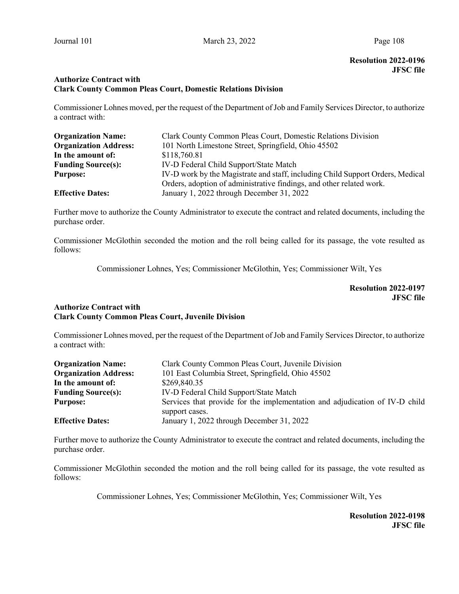## Resolution 2022-0196 JFSC file

#### Authorize Contract with Clark County Common Pleas Court, Domestic Relations Division

Commissioner Lohnes moved, per the request of the Department of Job and Family Services Director, to authorize a contract with:

| <b>Organization Name:</b>    | Clark County Common Pleas Court, Domestic Relations Division                   |
|------------------------------|--------------------------------------------------------------------------------|
| <b>Organization Address:</b> | 101 North Limestone Street, Springfield, Ohio 45502                            |
| In the amount of:            | \$118,760.81                                                                   |
| <b>Funding Source(s):</b>    | IV-D Federal Child Support/State Match                                         |
| <b>Purpose:</b>              | IV-D work by the Magistrate and staff, including Child Support Orders, Medical |
|                              | Orders, adoption of administrative findings, and other related work.           |
| <b>Effective Dates:</b>      | January 1, 2022 through December 31, 2022                                      |

Further move to authorize the County Administrator to execute the contract and related documents, including the purchase order.

Commissioner McGlothin seconded the motion and the roll being called for its passage, the vote resulted as follows:

Commissioner Lohnes, Yes; Commissioner McGlothin, Yes; Commissioner Wilt, Yes

## Resolution 2022-0197 JFSC file

### Authorize Contract with Clark County Common Pleas Court, Juvenile Division

Commissioner Lohnes moved, per the request of the Department of Job and Family Services Director, to authorize a contract with:

| <b>Organization Name:</b>    | Clark County Common Pleas Court, Juvenile Division                          |
|------------------------------|-----------------------------------------------------------------------------|
| <b>Organization Address:</b> | 101 East Columbia Street, Springfield, Ohio 45502                           |
| In the amount of:            | \$269,840.35                                                                |
| <b>Funding Source(s):</b>    | IV-D Federal Child Support/State Match                                      |
| <b>Purpose:</b>              | Services that provide for the implementation and adjudication of IV-D child |
|                              | support cases.                                                              |
| <b>Effective Dates:</b>      | January 1, 2022 through December 31, 2022                                   |

Further move to authorize the County Administrator to execute the contract and related documents, including the purchase order.

Commissioner McGlothin seconded the motion and the roll being called for its passage, the vote resulted as follows:

Commissioner Lohnes, Yes; Commissioner McGlothin, Yes; Commissioner Wilt, Yes

Resolution 2022-0198 JFSC file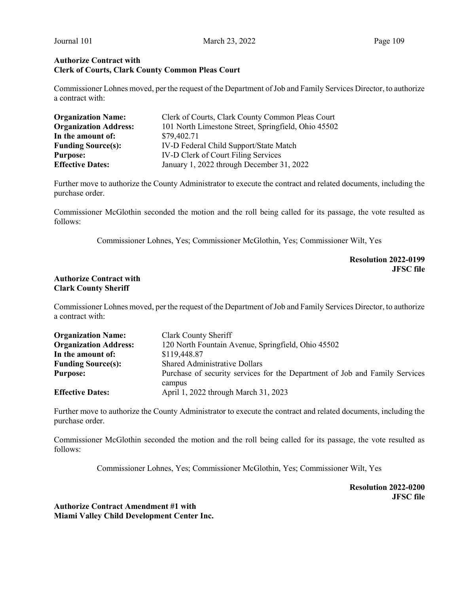## Authorize Contract with Clerk of Courts, Clark County Common Pleas Court

Commissioner Lohnes moved, per the request of the Department of Job and Family Services Director, to authorize a contract with:

| <b>Organization Name:</b>    | Clerk of Courts, Clark County Common Pleas Court    |
|------------------------------|-----------------------------------------------------|
| <b>Organization Address:</b> | 101 North Limestone Street, Springfield, Ohio 45502 |
| In the amount of:            | \$79,402.71                                         |
| <b>Funding Source(s):</b>    | IV-D Federal Child Support/State Match              |
| <b>Purpose:</b>              | IV-D Clerk of Court Filing Services                 |
| <b>Effective Dates:</b>      | January 1, 2022 through December 31, 2022           |

Further move to authorize the County Administrator to execute the contract and related documents, including the purchase order.

Commissioner McGlothin seconded the motion and the roll being called for its passage, the vote resulted as follows:

Commissioner Lohnes, Yes; Commissioner McGlothin, Yes; Commissioner Wilt, Yes

Resolution 2022-0199 JFSC file

## Authorize Contract with Clark County Sheriff

Commissioner Lohnes moved, per the request of the Department of Job and Family Services Director, to authorize a contract with:

| <b>Organization Name:</b>    | Clark County Sheriff                                                        |
|------------------------------|-----------------------------------------------------------------------------|
| <b>Organization Address:</b> | 120 North Fountain Avenue, Springfield, Ohio 45502                          |
| In the amount of:            | \$119,448.87                                                                |
| <b>Funding Source(s):</b>    | <b>Shared Administrative Dollars</b>                                        |
| <b>Purpose:</b>              | Purchase of security services for the Department of Job and Family Services |
|                              | campus                                                                      |
| <b>Effective Dates:</b>      | April 1, 2022 through March 31, 2023                                        |

Further move to authorize the County Administrator to execute the contract and related documents, including the purchase order.

Commissioner McGlothin seconded the motion and the roll being called for its passage, the vote resulted as follows:

Commissioner Lohnes, Yes; Commissioner McGlothin, Yes; Commissioner Wilt, Yes

Resolution 2022-0200 JFSC file

Authorize Contract Amendment #1 with Miami Valley Child Development Center Inc.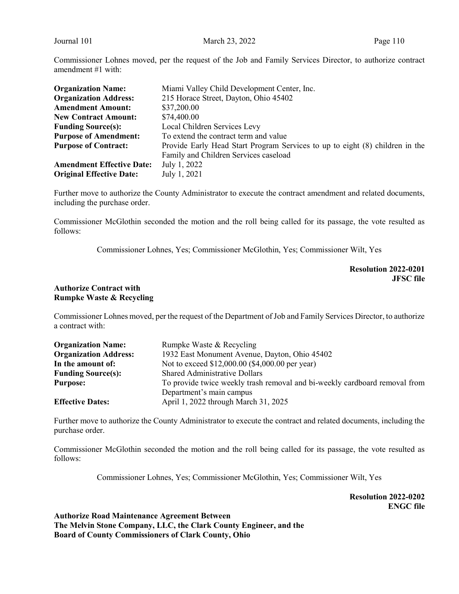Commissioner Lohnes moved, per the request of the Job and Family Services Director, to authorize contract amendment #1 with:

| <b>Organization Name:</b>        | Miami Valley Child Development Center, Inc.                                  |
|----------------------------------|------------------------------------------------------------------------------|
| <b>Organization Address:</b>     | 215 Horace Street, Dayton, Ohio 45402                                        |
| <b>Amendment Amount:</b>         | \$37,200.00                                                                  |
| <b>New Contract Amount:</b>      | \$74,400.00                                                                  |
| <b>Funding Source(s):</b>        | Local Children Services Levy                                                 |
| <b>Purpose of Amendment:</b>     | To extend the contract term and value                                        |
| <b>Purpose of Contract:</b>      | Provide Early Head Start Program Services to up to eight (8) children in the |
|                                  | Family and Children Services caseload                                        |
| <b>Amendment Effective Date:</b> | July 1, 2022                                                                 |
| <b>Original Effective Date:</b>  | July 1, 2021                                                                 |

Further move to authorize the County Administrator to execute the contract amendment and related documents, including the purchase order.

Commissioner McGlothin seconded the motion and the roll being called for its passage, the vote resulted as follows:

Commissioner Lohnes, Yes; Commissioner McGlothin, Yes; Commissioner Wilt, Yes

Resolution 2022-0201 JFSC file

#### Authorize Contract with Rumpke Waste & Recycling

Commissioner Lohnes moved, per the request of the Department of Job and Family Services Director, to authorize a contract with:

| <b>Organization Name:</b>    | Rumpke Waste & Recycling                                                   |
|------------------------------|----------------------------------------------------------------------------|
| <b>Organization Address:</b> | 1932 East Monument Avenue, Dayton, Ohio 45402                              |
| In the amount of:            | Not to exceed \$12,000.00 (\$4,000.00 per year)                            |
| <b>Funding Source(s):</b>    | <b>Shared Administrative Dollars</b>                                       |
| <b>Purpose:</b>              | To provide twice weekly trash removal and bi-weekly cardboard removal from |
|                              | Department's main campus                                                   |
| <b>Effective Dates:</b>      | April 1, 2022 through March 31, 2025                                       |

Further move to authorize the County Administrator to execute the contract and related documents, including the purchase order.

Commissioner McGlothin seconded the motion and the roll being called for its passage, the vote resulted as follows:

Commissioner Lohnes, Yes; Commissioner McGlothin, Yes; Commissioner Wilt, Yes

Resolution 2022-0202 ENGC file

Authorize Road Maintenance Agreement Between The Melvin Stone Company, LLC, the Clark County Engineer, and the Board of County Commissioners of Clark County, Ohio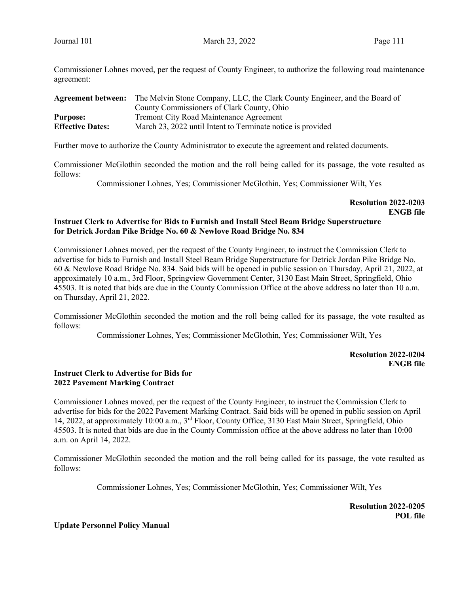Commissioner Lohnes moved, per the request of County Engineer, to authorize the following road maintenance agreement:

| <b>Agreement between:</b> | The Melvin Stone Company, LLC, the Clark County Engineer, and the Board of |
|---------------------------|----------------------------------------------------------------------------|
|                           | County Commissioners of Clark County, Ohio                                 |
| <b>Purpose:</b>           | Tremont City Road Maintenance Agreement                                    |
| <b>Effective Dates:</b>   | March 23, 2022 until Intent to Terminate notice is provided                |

Further move to authorize the County Administrator to execute the agreement and related documents.

Commissioner McGlothin seconded the motion and the roll being called for its passage, the vote resulted as follows:

Commissioner Lohnes, Yes; Commissioner McGlothin, Yes; Commissioner Wilt, Yes

# Resolution 2022-0203 ENGB file

### Instruct Clerk to Advertise for Bids to Furnish and Install Steel Beam Bridge Superstructure for Detrick Jordan Pike Bridge No. 60 & Newlove Road Bridge No. 834

Commissioner Lohnes moved, per the request of the County Engineer, to instruct the Commission Clerk to advertise for bids to Furnish and Install Steel Beam Bridge Superstructure for Detrick Jordan Pike Bridge No. 60 & Newlove Road Bridge No. 834. Said bids will be opened in public session on Thursday, April 21, 2022, at approximately 10 a.m., 3rd Floor, Springview Government Center, 3130 East Main Street, Springfield, Ohio 45503. It is noted that bids are due in the County Commission Office at the above address no later than 10 a.m. on Thursday, April 21, 2022.

Commissioner McGlothin seconded the motion and the roll being called for its passage, the vote resulted as follows:

Commissioner Lohnes, Yes; Commissioner McGlothin, Yes; Commissioner Wilt, Yes

## Resolution 2022-0204 ENGB file

## Instruct Clerk to Advertise for Bids for 2022 Pavement Marking Contract

Commissioner Lohnes moved, per the request of the County Engineer, to instruct the Commission Clerk to advertise for bids for the 2022 Pavement Marking Contract. Said bids will be opened in public session on April 14, 2022, at approximately 10:00 a.m., 3rd Floor, County Office, 3130 East Main Street, Springfield, Ohio 45503. It is noted that bids are due in the County Commission office at the above address no later than 10:00 a.m. on April 14, 2022.

Commissioner McGlothin seconded the motion and the roll being called for its passage, the vote resulted as follows:

Commissioner Lohnes, Yes; Commissioner McGlothin, Yes; Commissioner Wilt, Yes

Resolution 2022-0205 POL file

Update Personnel Policy Manual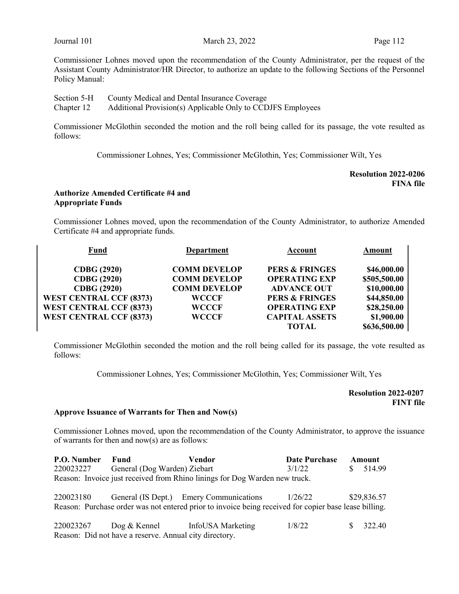Commissioner Lohnes moved upon the recommendation of the County Administrator, per the request of the Assistant County Administrator/HR Director, to authorize an update to the following Sections of the Personnel Policy Manual:

Section 5-H County Medical and Dental Insurance Coverage

Chapter 12 Additional Provision(s) Applicable Only to CCDJFS Employees

Commissioner McGlothin seconded the motion and the roll being called for its passage, the vote resulted as follows:

Commissioner Lohnes, Yes; Commissioner McGlothin, Yes; Commissioner Wilt, Yes

## Resolution 2022-0206 FINA file

## Authorize Amended Certificate #4 and Appropriate Funds

Commissioner Lohnes moved, upon the recommendation of the County Administrator, to authorize Amended Certificate #4 and appropriate funds.

| Fund                           | <b>Department</b>   | Account                   | Amount       |
|--------------------------------|---------------------|---------------------------|--------------|
|                                |                     |                           |              |
| <b>CDBG</b> (2920)             | <b>COMM DEVELOP</b> | <b>PERS &amp; FRINGES</b> | \$46,000.00  |
| <b>CDBG</b> (2920)             | <b>COMM DEVELOP</b> | <b>OPERATING EXP</b>      | \$505,500.00 |
| <b>CDBG</b> (2920)             | <b>COMM DEVELOP</b> | <b>ADVANCE OUT</b>        | \$10,000.00  |
| <b>WEST CENTRAL CCF (8373)</b> | <b>WCCCF</b>        | <b>PERS &amp; FRINGES</b> | \$44,850.00  |
| <b>WEST CENTRAL CCF (8373)</b> | <b>WCCCF</b>        | <b>OPERATING EXP</b>      | \$28,250.00  |
| <b>WEST CENTRAL CCF (8373)</b> | <b>WCCCF</b>        | <b>CAPITAL ASSETS</b>     | \$1,900.00   |
|                                |                     | TOTAL                     | \$636,500.00 |

Commissioner McGlothin seconded the motion and the roll being called for its passage, the vote resulted as follows:

Commissioner Lohnes, Yes; Commissioner McGlothin, Yes; Commissioner Wilt, Yes

### Resolution 2022-0207 FINT file

#### Approve Issuance of Warrants for Then and Now(s)

Commissioner Lohnes moved, upon the recommendation of the County Administrator, to approve the issuance of warrants for then and now(s) are as follows:

| P.O. Number                                                                                           | Fund                                                                       | Vendor                                  | <b>Date Purchase</b> |  | Amount      |  |
|-------------------------------------------------------------------------------------------------------|----------------------------------------------------------------------------|-----------------------------------------|----------------------|--|-------------|--|
| 220023227                                                                                             | General (Dog Warden) Ziebart                                               |                                         | 3/1/22               |  | 514.99      |  |
|                                                                                                       | Reason: Invoice just received from Rhino linings for Dog Warden new truck. |                                         |                      |  |             |  |
|                                                                                                       |                                                                            |                                         |                      |  |             |  |
| 220023180                                                                                             |                                                                            | General (IS Dept.) Emery Communications | 1/26/22              |  | \$29,836.57 |  |
| Reason: Purchase order was not entered prior to invoice being received for copier base lease billing. |                                                                            |                                         |                      |  |             |  |
|                                                                                                       |                                                                            |                                         |                      |  |             |  |
| 220023267                                                                                             |                                                                            | Dog & Kennel InfoUSA Marketing          | 1/8/22               |  | 322.40      |  |
|                                                                                                       | Reason: Did not have a reserve. Annual city directory.                     |                                         |                      |  |             |  |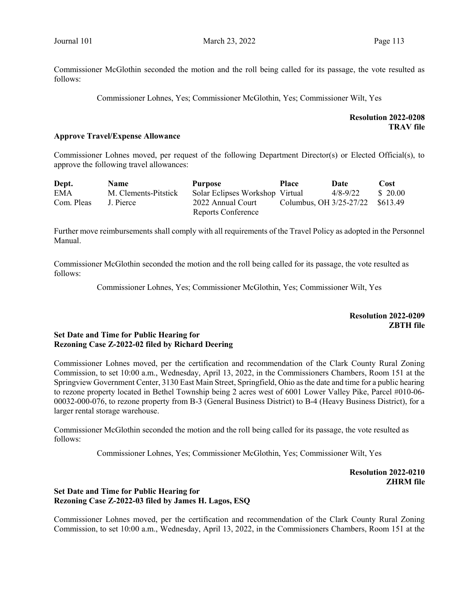Commissioner McGlothin seconded the motion and the roll being called for its passage, the vote resulted as follows:

Commissioner Lohnes, Yes; Commissioner McGlothin, Yes; Commissioner Wilt, Yes

Resolution 2022-0208 TRAV file

#### Approve Travel/Expense Allowance

Commissioner Lohnes moved, per request of the following Department Director(s) or Elected Official(s), to approve the following travel allowances:

| Dept.      | <b>Name</b>          | <b>Purpose</b>                  | <b>Place</b> | Date                             | Cost     |
|------------|----------------------|---------------------------------|--------------|----------------------------------|----------|
| <b>EMA</b> | M. Clements-Pitstick | Solar Eclipses Workshop Virtual |              | $4/8 - 9/22$                     | \$ 20.00 |
| Com. Pleas | J. Pierce            | 2022 Annual Court               |              | Columbus, OH 3/25-27/22 \$613.49 |          |
|            |                      | Reports Conference              |              |                                  |          |

Further move reimbursements shall comply with all requirements of the Travel Policy as adopted in the Personnel Manual.

Commissioner McGlothin seconded the motion and the roll being called for its passage, the vote resulted as follows:

Commissioner Lohnes, Yes; Commissioner McGlothin, Yes; Commissioner Wilt, Yes

Resolution 2022-0209 ZBTH file

## Set Date and Time for Public Hearing for Rezoning Case Z-2022-02 filed by Richard Deering

Commissioner Lohnes moved, per the certification and recommendation of the Clark County Rural Zoning Commission, to set 10:00 a.m., Wednesday, April 13, 2022, in the Commissioners Chambers, Room 151 at the Springview Government Center, 3130 East Main Street, Springfield, Ohio as the date and time for a public hearing to rezone property located in Bethel Township being 2 acres west of 6001 Lower Valley Pike, Parcel #010-06- 00032-000-076, to rezone property from B-3 (General Business District) to B-4 (Heavy Business District), for a larger rental storage warehouse.

Commissioner McGlothin seconded the motion and the roll being called for its passage, the vote resulted as follows:

Commissioner Lohnes, Yes; Commissioner McGlothin, Yes; Commissioner Wilt, Yes

Resolution 2022-0210 ZHRM file

## Set Date and Time for Public Hearing for Rezoning Case Z-2022-03 filed by James H. Lagos, ESQ

Commissioner Lohnes moved, per the certification and recommendation of the Clark County Rural Zoning Commission, to set 10:00 a.m., Wednesday, April 13, 2022, in the Commissioners Chambers, Room 151 at the